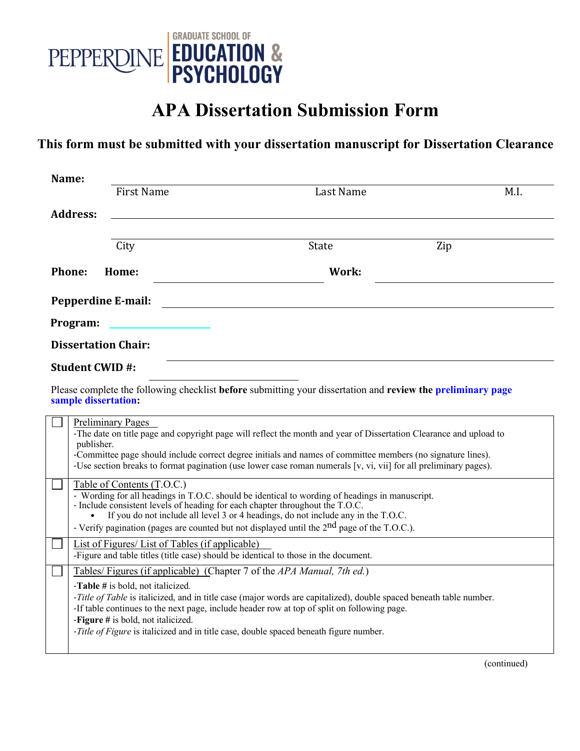

## **APA Dissertation Submission Form**

## **This form must be submitted with your dissertation manuscript for Dissertation Clearance**

| Name:                                                                                                                               |                                                                         |                                                                                                                                                                                                                                                                                                                                                                                       |      |  |
|-------------------------------------------------------------------------------------------------------------------------------------|-------------------------------------------------------------------------|---------------------------------------------------------------------------------------------------------------------------------------------------------------------------------------------------------------------------------------------------------------------------------------------------------------------------------------------------------------------------------------|------|--|
|                                                                                                                                     | <b>First Name</b>                                                       | Last Name                                                                                                                                                                                                                                                                                                                                                                             | M.I. |  |
| <b>Address:</b>                                                                                                                     |                                                                         |                                                                                                                                                                                                                                                                                                                                                                                       |      |  |
|                                                                                                                                     |                                                                         |                                                                                                                                                                                                                                                                                                                                                                                       |      |  |
|                                                                                                                                     | City                                                                    | State                                                                                                                                                                                                                                                                                                                                                                                 | Zip  |  |
| Phone:                                                                                                                              | Home:                                                                   | Work:                                                                                                                                                                                                                                                                                                                                                                                 |      |  |
|                                                                                                                                     | <b>Pepperdine E-mail:</b>                                               |                                                                                                                                                                                                                                                                                                                                                                                       |      |  |
| Program:                                                                                                                            |                                                                         |                                                                                                                                                                                                                                                                                                                                                                                       |      |  |
| <b>Dissertation Chair:</b>                                                                                                          |                                                                         |                                                                                                                                                                                                                                                                                                                                                                                       |      |  |
| <b>Student CWID#:</b>                                                                                                               |                                                                         |                                                                                                                                                                                                                                                                                                                                                                                       |      |  |
| Please complete the following checklist before submitting your dissertation and review the preliminary page<br>sample dissertation: |                                                                         |                                                                                                                                                                                                                                                                                                                                                                                       |      |  |
|                                                                                                                                     | <b>Preliminary Pages</b><br>publisher.                                  | -The date on title page and copyright page will reflect the month and year of Dissertation Clearance and upload to<br>-Committee page should include correct degree initials and names of committee members (no signature lines).<br>-Use section breaks to format pagination (use lower case roman numerals $[v, vi, vi]$ for all preliminary pages).                                |      |  |
|                                                                                                                                     | Table of Contents (T.O.C.)                                              | - Wording for all headings in T.O.C. should be identical to wording of headings in manuscript.<br>- Include consistent levels of heading for each chapter throughout the T.O.C.<br>If you do not include all level 3 or 4 headings, do not include any in the T.O.C.<br>- Verify pagination (pages are counted but not displayed until the $2nd$ page of the T.O.C.).                 |      |  |
|                                                                                                                                     | List of Figures/List of Tables (if applicable)                          | -Figure and table titles (title case) should be identical to those in the document.                                                                                                                                                                                                                                                                                                   |      |  |
|                                                                                                                                     | -Table # is bold, not italicized.<br>-Figure # is bold, not italicized. | Tables/Figures (if applicable) (Chapter 7 of the APA Manual, 7th ed.)<br>-Title of Table is italicized, and in title case (major words are capitalized), double spaced beneath table number.<br>-If table continues to the next page, include header row at top of split on following page.<br>-Title of Figure is italicized and in title case, double spaced beneath figure number. |      |  |

(continued)